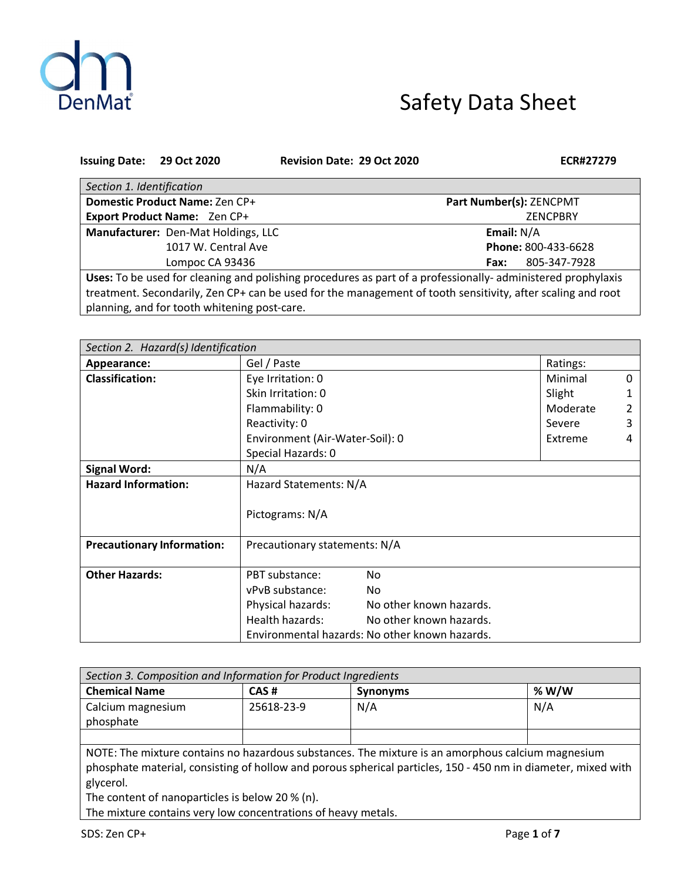

# Safety Data Sheet

| <b>Issuing Date:</b>                                                                                        | 29 Oct 2020                         | <b>Revision Date: 29 Oct 2020</b> | ECR#27279               |  |  |
|-------------------------------------------------------------------------------------------------------------|-------------------------------------|-----------------------------------|-------------------------|--|--|
| Section 1. Identification                                                                                   |                                     |                                   |                         |  |  |
|                                                                                                             | Domestic Product Name: Zen CP+      |                                   | Part Number(s): ZENCPMT |  |  |
| <b>Export Product Name: Zen CP+</b>                                                                         |                                     |                                   | <b>ZENCPBRY</b>         |  |  |
|                                                                                                             | Manufacturer: Den-Mat Holdings, LLC |                                   | Email: N/A              |  |  |
|                                                                                                             | 1017 W. Central Ave                 |                                   | Phone: 800-433-6628     |  |  |
|                                                                                                             | Lompoc CA 93436                     |                                   | 805-347-7928<br>Fax:    |  |  |
| Uses: To be used for cleaning and polishing procedures as part of a professionally-administered prophylaxis |                                     |                                   |                         |  |  |
| treatment. Secondarily, Zen CP+ can be used for the management of tooth sensitivity, after scaling and root |                                     |                                   |                         |  |  |
| planning, and for tooth whitening post-care.                                                                |                                     |                                   |                         |  |  |

| Section 2. Hazard(s) Identification |                                                |                         |          |   |
|-------------------------------------|------------------------------------------------|-------------------------|----------|---|
| Appearance:                         | Gel / Paste<br>Ratings:                        |                         |          |   |
| <b>Classification:</b>              | Eye Irritation: 0                              |                         | Minimal  | 0 |
|                                     | Skin Irritation: 0                             |                         | Slight   |   |
|                                     | Flammability: 0                                |                         | Moderate |   |
|                                     | Reactivity: 0                                  |                         | Severe   | 3 |
|                                     | Environment (Air-Water-Soil): 0                |                         | Extreme  | 4 |
|                                     | Special Hazards: 0                             |                         |          |   |
| <b>Signal Word:</b>                 | N/A                                            |                         |          |   |
| <b>Hazard Information:</b>          | Hazard Statements: N/A                         |                         |          |   |
|                                     | Pictograms: N/A                                |                         |          |   |
| <b>Precautionary Information:</b>   | Precautionary statements: N/A                  |                         |          |   |
| <b>Other Hazards:</b>               | PBT substance:                                 | No                      |          |   |
|                                     | vPvB substance:                                | No                      |          |   |
|                                     | Physical hazards:                              | No other known hazards. |          |   |
|                                     | Health hazards:                                | No other known hazards. |          |   |
|                                     | Environmental hazards: No other known hazards. |                         |          |   |

| Section 3. Composition and Information for Product Ingredients                                                |            |                 |         |  |  |
|---------------------------------------------------------------------------------------------------------------|------------|-----------------|---------|--|--|
| <b>Chemical Name</b>                                                                                          | CAS#       | <b>Synonyms</b> | % $W/W$ |  |  |
| Calcium magnesium                                                                                             | 25618-23-9 | N/A             | N/A     |  |  |
| phosphate                                                                                                     |            |                 |         |  |  |
|                                                                                                               |            |                 |         |  |  |
| NOTE: The mixture contains no hazardous substances. The mixture is an amorphous calcium magnesium             |            |                 |         |  |  |
| phosphate material, consisting of hollow and porous spherical particles, 150 - 450 nm in diameter, mixed with |            |                 |         |  |  |
| glycerol.                                                                                                     |            |                 |         |  |  |
| The content of nanoparticles is below 20 % (n).                                                               |            |                 |         |  |  |
| The mixture contains very low concentrations of heavy metals.                                                 |            |                 |         |  |  |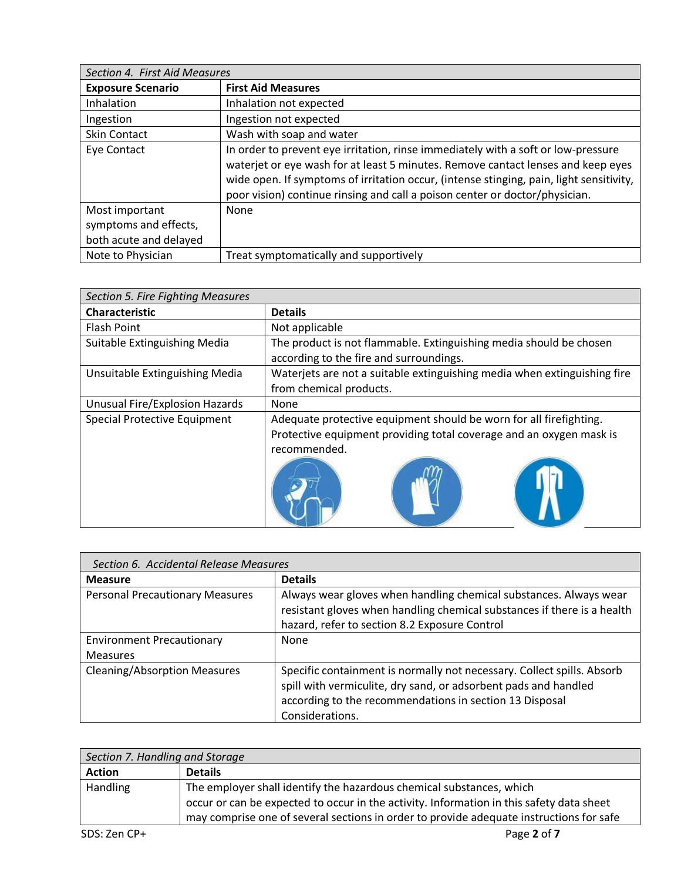| Section 4. First Aid Measures                                     |                                                                                                                                                                                                                                                                                                                                                 |
|-------------------------------------------------------------------|-------------------------------------------------------------------------------------------------------------------------------------------------------------------------------------------------------------------------------------------------------------------------------------------------------------------------------------------------|
| <b>Exposure Scenario</b>                                          | <b>First Aid Measures</b>                                                                                                                                                                                                                                                                                                                       |
| Inhalation                                                        | Inhalation not expected                                                                                                                                                                                                                                                                                                                         |
| Ingestion                                                         | Ingestion not expected                                                                                                                                                                                                                                                                                                                          |
| <b>Skin Contact</b>                                               | Wash with soap and water                                                                                                                                                                                                                                                                                                                        |
| Eye Contact                                                       | In order to prevent eye irritation, rinse immediately with a soft or low-pressure<br>waterjet or eye wash for at least 5 minutes. Remove cantact lenses and keep eyes<br>wide open. If symptoms of irritation occur, (intense stinging, pain, light sensitivity,<br>poor vision) continue rinsing and call a poison center or doctor/physician. |
| Most important<br>symptoms and effects,<br>both acute and delayed | None                                                                                                                                                                                                                                                                                                                                            |
| Note to Physician                                                 | Treat symptomatically and supportively                                                                                                                                                                                                                                                                                                          |

| Section 5. Fire Fighting Measures   |                                                                                                                                                           |  |  |  |
|-------------------------------------|-----------------------------------------------------------------------------------------------------------------------------------------------------------|--|--|--|
| <b>Characteristic</b>               | <b>Details</b>                                                                                                                                            |  |  |  |
| <b>Flash Point</b>                  | Not applicable                                                                                                                                            |  |  |  |
| Suitable Extinguishing Media        | The product is not flammable. Extinguishing media should be chosen<br>according to the fire and surroundings.                                             |  |  |  |
| Unsuitable Extinguishing Media      | Waterjets are not a suitable extinguishing media when extinguishing fire<br>from chemical products.                                                       |  |  |  |
| Unusual Fire/Explosion Hazards      | None                                                                                                                                                      |  |  |  |
| <b>Special Protective Equipment</b> | Adequate protective equipment should be worn for all firefighting.<br>Protective equipment providing total coverage and an oxygen mask is<br>recommended. |  |  |  |

| Section 6. Accidental Release Measures              |                                                                                                                                                                                                                         |  |  |
|-----------------------------------------------------|-------------------------------------------------------------------------------------------------------------------------------------------------------------------------------------------------------------------------|--|--|
| <b>Measure</b>                                      | <b>Details</b>                                                                                                                                                                                                          |  |  |
| <b>Personal Precautionary Measures</b>              | Always wear gloves when handling chemical substances. Always wear<br>resistant gloves when handling chemical substances if there is a health<br>hazard, refer to section 8.2 Exposure Control                           |  |  |
| <b>Environment Precautionary</b><br><b>Measures</b> | None                                                                                                                                                                                                                    |  |  |
| <b>Cleaning/Absorption Measures</b>                 | Specific containment is normally not necessary. Collect spills. Absorb<br>spill with vermiculite, dry sand, or adsorbent pads and handled<br>according to the recommendations in section 13 Disposal<br>Considerations. |  |  |

| Section 7. Handling and Storage |                                                                                          |  |
|---------------------------------|------------------------------------------------------------------------------------------|--|
| <b>Action</b>                   | <b>Details</b>                                                                           |  |
| <b>Handling</b>                 | The employer shall identify the hazardous chemical substances, which                     |  |
|                                 | occur or can be expected to occur in the activity. Information in this safety data sheet |  |
|                                 | may comprise one of several sections in order to provide adequate instructions for safe  |  |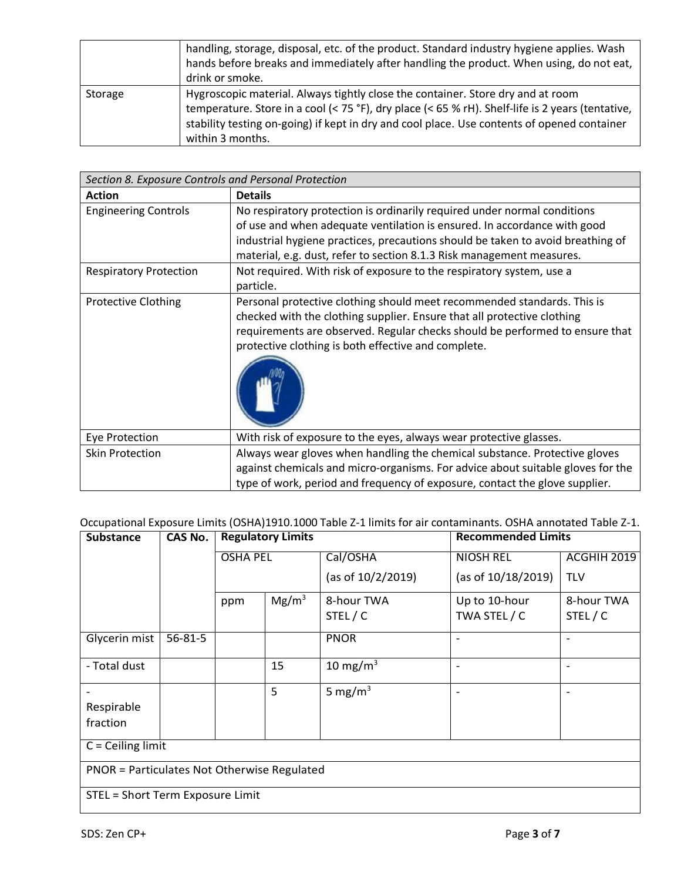|         | handling, storage, disposal, etc. of the product. Standard industry hygiene applies. Wash<br>hands before breaks and immediately after handling the product. When using, do not eat,<br>drink or smoke.                                                                                                |
|---------|--------------------------------------------------------------------------------------------------------------------------------------------------------------------------------------------------------------------------------------------------------------------------------------------------------|
| Storage | Hygroscopic material. Always tightly close the container. Store dry and at room<br>temperature. Store in a cool (< 75 °F), dry place (< 65 % rH). Shelf-life is 2 years (tentative,<br>stability testing on-going) if kept in dry and cool place. Use contents of opened container<br>within 3 months. |

| Section 8. Exposure Controls and Personal Protection |                                                                                                                                                                                                                                                                                                                  |  |  |
|------------------------------------------------------|------------------------------------------------------------------------------------------------------------------------------------------------------------------------------------------------------------------------------------------------------------------------------------------------------------------|--|--|
| <b>Action</b>                                        | <b>Details</b>                                                                                                                                                                                                                                                                                                   |  |  |
| <b>Engineering Controls</b>                          | No respiratory protection is ordinarily required under normal conditions<br>of use and when adequate ventilation is ensured. In accordance with good<br>industrial hygiene practices, precautions should be taken to avoid breathing of<br>material, e.g. dust, refer to section 8.1.3 Risk management measures. |  |  |
| <b>Respiratory Protection</b>                        | Not required. With risk of exposure to the respiratory system, use a<br>particle.                                                                                                                                                                                                                                |  |  |
| <b>Protective Clothing</b>                           | Personal protective clothing should meet recommended standards. This is<br>checked with the clothing supplier. Ensure that all protective clothing<br>requirements are observed. Regular checks should be performed to ensure that<br>protective clothing is both effective and complete.                        |  |  |
| Eye Protection                                       | With risk of exposure to the eyes, always wear protective glasses.                                                                                                                                                                                                                                               |  |  |
| <b>Skin Protection</b>                               | Always wear gloves when handling the chemical substance. Protective gloves<br>against chemicals and micro-organisms. For advice about suitable gloves for the<br>type of work, period and frequency of exposure, contact the glove supplier.                                                                     |  |  |

Occupational Exposure Limits (OSHA)1910.1000 Table Z-1 limits for air contaminants. OSHA annotated Table Z-1.

| <b>Substance</b>                                   | <b>CAS No.</b> | <b>Regulatory Limits</b> |                   | <b>Recommended Limits</b> |                          |             |
|----------------------------------------------------|----------------|--------------------------|-------------------|---------------------------|--------------------------|-------------|
|                                                    |                | <b>OSHA PEL</b>          |                   | Cal/OSHA                  | <b>NIOSH REL</b>         | ACGHIH 2019 |
|                                                    |                |                          |                   | (as of 10/2/2019)         | (as of 10/18/2019)       | <b>TLV</b>  |
|                                                    |                | ppm                      | Mg/m <sup>3</sup> | 8-hour TWA                | Up to 10-hour            | 8-hour TWA  |
|                                                    |                |                          |                   | STEL/C                    | TWA STEL / C             | STEL/C      |
| Glycerin mist                                      | $56 - 81 - 5$  |                          |                   | <b>PNOR</b>               |                          |             |
| - Total dust                                       |                |                          | 15                | 10 mg/m $3$               | $\overline{\phantom{a}}$ |             |
|                                                    |                |                          | 5                 | 5 mg/ $m3$                |                          |             |
| Respirable                                         |                |                          |                   |                           |                          |             |
| fraction                                           |                |                          |                   |                           |                          |             |
| $C =$ Ceiling limit                                |                |                          |                   |                           |                          |             |
| <b>PNOR = Particulates Not Otherwise Regulated</b> |                |                          |                   |                           |                          |             |
| STEL = Short Term Exposure Limit                   |                |                          |                   |                           |                          |             |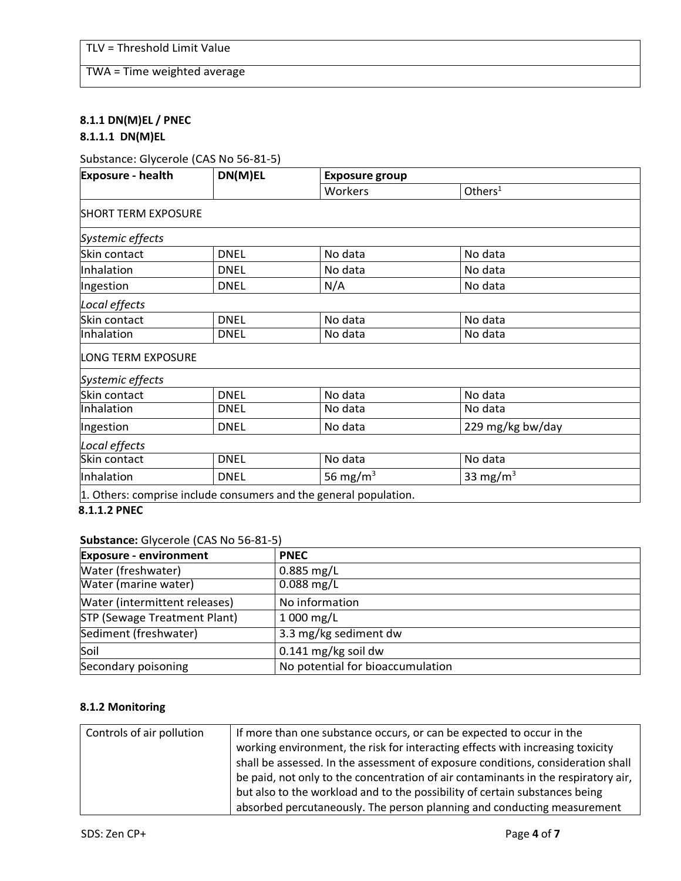TWA = Time weighted average

# **8.1.1 DN(M)EL / PNEC 8.1.1.1 DN(M)EL**

## Substance: Glycerole (CAS No 56-81-5)

| <b>Exposure - health</b>   | DN(M)EL     | <b>Exposure group</b>                                             |                    |  |
|----------------------------|-------------|-------------------------------------------------------------------|--------------------|--|
|                            |             | Workers                                                           | Other <sub>1</sub> |  |
| <b>SHORT TERM EXPOSURE</b> |             |                                                                   |                    |  |
| Systemic effects           |             |                                                                   |                    |  |
| Skin contact               | <b>DNEL</b> | No data                                                           | No data            |  |
| Inhalation                 | <b>DNEL</b> | No data                                                           | No data            |  |
| Ingestion                  | <b>DNEL</b> | N/A                                                               | No data            |  |
| Local effects              |             |                                                                   |                    |  |
| Skin contact               | <b>DNEL</b> | No data                                                           | No data            |  |
| Inhalation                 | <b>DNEL</b> | No data                                                           | No data            |  |
| <b>LONG TERM EXPOSURE</b>  |             |                                                                   |                    |  |
| Systemic effects           |             |                                                                   |                    |  |
| Skin contact               | <b>DNEL</b> | No data                                                           | No data            |  |
| Inhalation                 | <b>DNEL</b> | No data                                                           | No data            |  |
| Ingestion                  | <b>DNEL</b> | No data                                                           | 229 mg/kg bw/day   |  |
| Local effects              |             |                                                                   |                    |  |
| Skin contact               | <b>DNEL</b> | No data                                                           | No data            |  |
| Inhalation                 | <b>DNEL</b> | 56 mg/m $3$                                                       | 33 mg/m $3$        |  |
|                            |             | 1. Others: comprise include consumers and the general population. |                    |  |

**8.1.1.2 PNEC**

## **Substance:** Glycerole (CAS No 56-81-5)

| <b>Exposure - environment</b> | <b>PNEC</b>                      |
|-------------------------------|----------------------------------|
| Water (freshwater)            | $0.885$ mg/L                     |
| Water (marine water)          | $0.088$ mg/L                     |
| Water (intermittent releases) | No information                   |
| STP (Sewage Treatment Plant)  | $1000$ mg/L                      |
| Sediment (freshwater)         | 3.3 mg/kg sediment dw            |
| Soil                          | $0.141$ mg/kg soil dw            |
| Secondary poisoning           | No potential for bioaccumulation |

# **8.1.2 Monitoring**

| Controls of air pollution | If more than one substance occurs, or can be expected to occur in the              |
|---------------------------|------------------------------------------------------------------------------------|
|                           | working environment, the risk for interacting effects with increasing toxicity     |
|                           | shall be assessed. In the assessment of exposure conditions, consideration shall   |
|                           | be paid, not only to the concentration of air contaminants in the respiratory air, |
|                           | but also to the workload and to the possibility of certain substances being        |
|                           | absorbed percutaneously. The person planning and conducting measurement            |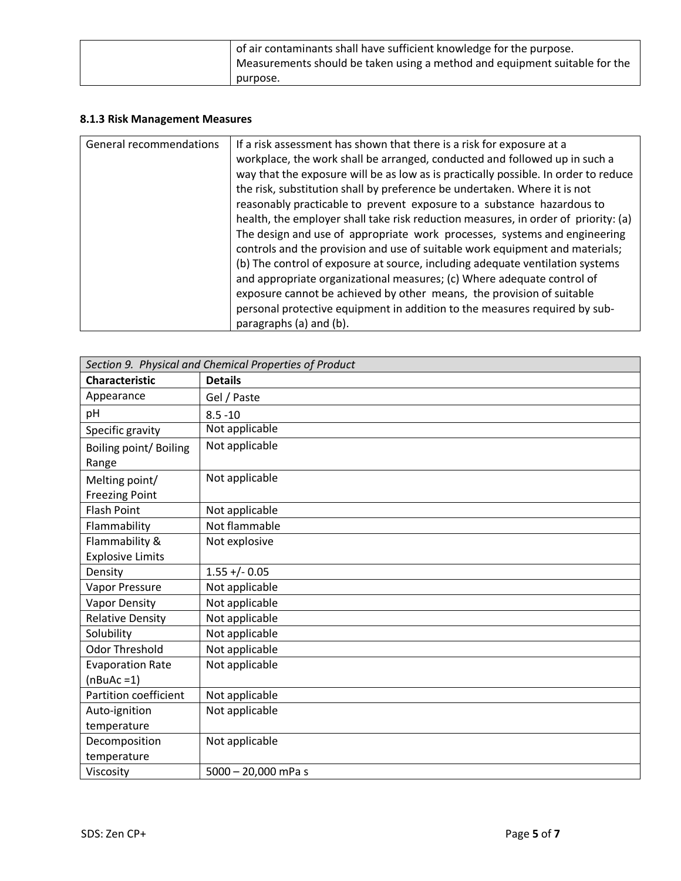| of air contaminants shall have sufficient knowledge for the purpose.<br>Measurements should be taken using a method and equipment suitable for the |
|----------------------------------------------------------------------------------------------------------------------------------------------------|
| purpose.                                                                                                                                           |

## **8.1.3 Risk Management Measures**

| General recommendations | If a risk assessment has shown that there is a risk for exposure at a<br>workplace, the work shall be arranged, conducted and followed up in such a<br>way that the exposure will be as low as is practically possible. In order to reduce<br>the risk, substitution shall by preference be undertaken. Where it is not<br>reasonably practicable to prevent exposure to a substance hazardous to<br>health, the employer shall take risk reduction measures, in order of priority: (a)<br>The design and use of appropriate work processes, systems and engineering<br>controls and the provision and use of suitable work equipment and materials;<br>(b) The control of exposure at source, including adequate ventilation systems<br>and appropriate organizational measures; (c) Where adequate control of<br>exposure cannot be achieved by other means, the provision of suitable<br>personal protective equipment in addition to the measures required by sub-<br>paragraphs (a) and (b). |
|-------------------------|---------------------------------------------------------------------------------------------------------------------------------------------------------------------------------------------------------------------------------------------------------------------------------------------------------------------------------------------------------------------------------------------------------------------------------------------------------------------------------------------------------------------------------------------------------------------------------------------------------------------------------------------------------------------------------------------------------------------------------------------------------------------------------------------------------------------------------------------------------------------------------------------------------------------------------------------------------------------------------------------------|
|-------------------------|---------------------------------------------------------------------------------------------------------------------------------------------------------------------------------------------------------------------------------------------------------------------------------------------------------------------------------------------------------------------------------------------------------------------------------------------------------------------------------------------------------------------------------------------------------------------------------------------------------------------------------------------------------------------------------------------------------------------------------------------------------------------------------------------------------------------------------------------------------------------------------------------------------------------------------------------------------------------------------------------------|

| Section 9. Physical and Chemical Properties of Product |                       |  |
|--------------------------------------------------------|-----------------------|--|
| <b>Characteristic</b>                                  | <b>Details</b>        |  |
| Appearance                                             | Gel / Paste           |  |
| pH                                                     | $8.5 - 10$            |  |
| Specific gravity                                       | Not applicable        |  |
| Boiling point/Boiling                                  | Not applicable        |  |
| Range                                                  |                       |  |
| Melting point/                                         | Not applicable        |  |
| <b>Freezing Point</b>                                  |                       |  |
| <b>Flash Point</b>                                     | Not applicable        |  |
| Flammability                                           | Not flammable         |  |
| Flammability &                                         | Not explosive         |  |
| <b>Explosive Limits</b>                                |                       |  |
| Density                                                | $1.55 + (-0.05)$      |  |
| Vapor Pressure                                         | Not applicable        |  |
| <b>Vapor Density</b>                                   | Not applicable        |  |
| <b>Relative Density</b>                                | Not applicable        |  |
| Solubility                                             | Not applicable        |  |
| <b>Odor Threshold</b>                                  | Not applicable        |  |
| <b>Evaporation Rate</b>                                | Not applicable        |  |
| $(nBuAc=1)$                                            |                       |  |
| Partition coefficient                                  | Not applicable        |  |
| Auto-ignition                                          | Not applicable        |  |
| temperature                                            |                       |  |
| Decomposition                                          | Not applicable        |  |
| temperature                                            |                       |  |
| Viscosity                                              | $5000 - 20,000$ mPa s |  |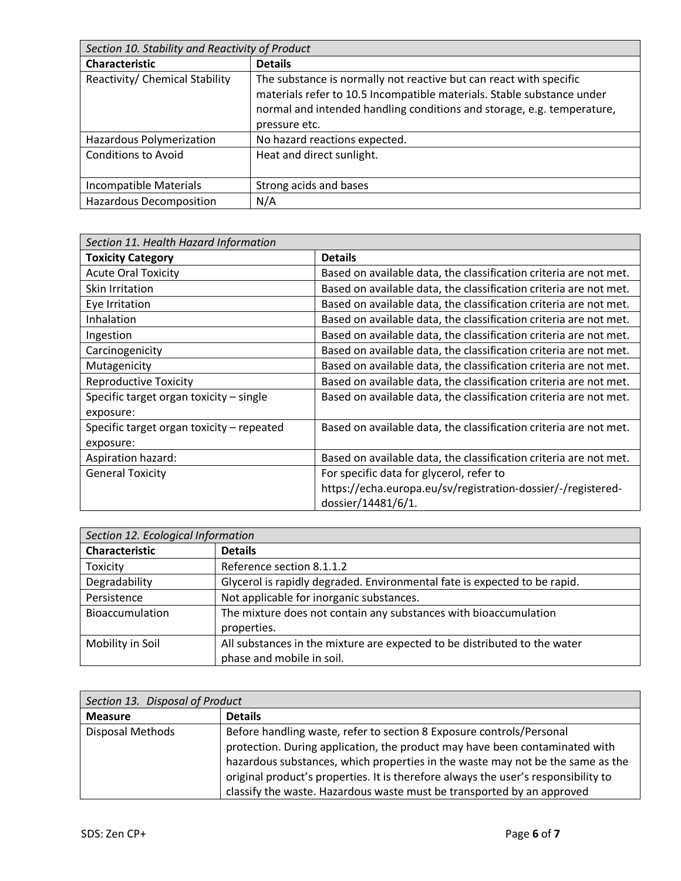| Section 10. Stability and Reactivity of Product |                                                                                                                                                                                                                                         |  |
|-------------------------------------------------|-----------------------------------------------------------------------------------------------------------------------------------------------------------------------------------------------------------------------------------------|--|
| <b>Characteristic</b>                           | <b>Details</b>                                                                                                                                                                                                                          |  |
| Reactivity/ Chemical Stability                  | The substance is normally not reactive but can react with specific<br>materials refer to 10.5 Incompatible materials. Stable substance under<br>normal and intended handling conditions and storage, e.g. temperature,<br>pressure etc. |  |
| Hazardous Polymerization                        | No hazard reactions expected.                                                                                                                                                                                                           |  |
| <b>Conditions to Avoid</b>                      | Heat and direct sunlight.                                                                                                                                                                                                               |  |
| Incompatible Materials                          | Strong acids and bases                                                                                                                                                                                                                  |  |
| <b>Hazardous Decomposition</b>                  | N/A                                                                                                                                                                                                                                     |  |

| Section 11. Health Hazard Information     |                                                                   |  |
|-------------------------------------------|-------------------------------------------------------------------|--|
| <b>Toxicity Category</b>                  | <b>Details</b>                                                    |  |
| <b>Acute Oral Toxicity</b>                | Based on available data, the classification criteria are not met. |  |
| Skin Irritation                           | Based on available data, the classification criteria are not met. |  |
| Eye Irritation                            | Based on available data, the classification criteria are not met. |  |
| Inhalation                                | Based on available data, the classification criteria are not met. |  |
| Ingestion                                 | Based on available data, the classification criteria are not met. |  |
| Carcinogenicity                           | Based on available data, the classification criteria are not met. |  |
| Mutagenicity                              | Based on available data, the classification criteria are not met. |  |
| <b>Reproductive Toxicity</b>              | Based on available data, the classification criteria are not met. |  |
| Specific target organ toxicity - single   | Based on available data, the classification criteria are not met. |  |
| exposure:                                 |                                                                   |  |
| Specific target organ toxicity - repeated | Based on available data, the classification criteria are not met. |  |
| exposure:                                 |                                                                   |  |
| Aspiration hazard:                        | Based on available data, the classification criteria are not met. |  |
| <b>General Toxicity</b>                   | For specific data for glycerol, refer to                          |  |
|                                           | https://echa.europa.eu/sv/registration-dossier/-/registered-      |  |
|                                           | dossier/14481/6/1.                                                |  |

| Section 12. Ecological Information |                                                                           |  |
|------------------------------------|---------------------------------------------------------------------------|--|
| <b>Characteristic</b>              | <b>Details</b>                                                            |  |
| Toxicity                           | Reference section 8.1.1.2                                                 |  |
| Degradability                      | Glycerol is rapidly degraded. Environmental fate is expected to be rapid. |  |
| Persistence                        | Not applicable for inorganic substances.                                  |  |
| Bioaccumulation                    | The mixture does not contain any substances with bioaccumulation          |  |
|                                    | properties.                                                               |  |
| Mobility in Soil                   | All substances in the mixture are expected to be distributed to the water |  |
|                                    | phase and mobile in soil.                                                 |  |

| Section 13. Disposal of Product |                                                                                                                                                                                                                                                                                                                                                                                                       |
|---------------------------------|-------------------------------------------------------------------------------------------------------------------------------------------------------------------------------------------------------------------------------------------------------------------------------------------------------------------------------------------------------------------------------------------------------|
| <b>Measure</b>                  | <b>Details</b>                                                                                                                                                                                                                                                                                                                                                                                        |
| Disposal Methods                | Before handling waste, refer to section 8 Exposure controls/Personal<br>protection. During application, the product may have been contaminated with<br>hazardous substances, which properties in the waste may not be the same as the<br>original product's properties. It is therefore always the user's responsibility to<br>classify the waste. Hazardous waste must be transported by an approved |